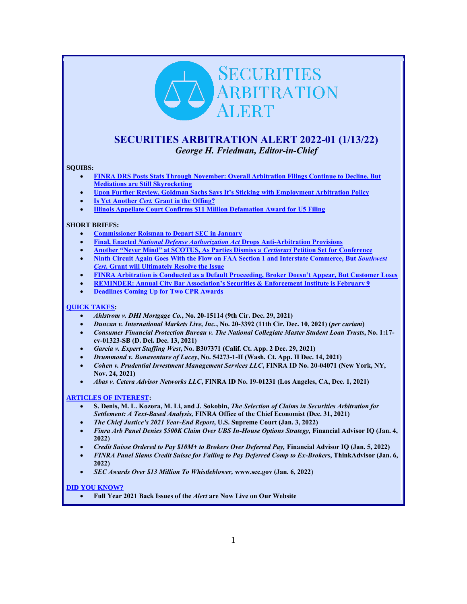# **SECURITIES** ARBITRATION ALERT

# <span id="page-0-0"></span>**SECURITIES ARBITRATION ALERT 2022-01 (1/13/22)** *George H. Friedman, Editor-in-Chief*

#### **SQUIBS:**

- **[FINRA DRS Posts Stats Through November: Overall Arbitration Filings Continue to Decline, But](#page-1-0)  [Mediations are Still Skyrocketing](#page-1-0)**
- **[Upon Further Review, Goldman Sachs Says It's Sticking](#page-2-0) with Employment Arbitration Policy**
- **Is Yet Another** *Cert.* **[Grant in the Offing?](#page-4-0)**
- **[Illinois Appellate Court Confirms \\$11 Million Defamation Award for U5 Filing](#page-5-0)**

#### **SHORT BRIEFS:**

- **[Commissioner Roisman to Depart SEC in January](#page-7-0)**
- **Final, Enacted** *[National Defense Authorization Act](#page-7-1)* **Drops Anti-Arbitration Provisions**
- **[Another "Never Mind" at SCOTUS, As Parties Dismiss a](#page-7-2)** *Certiorari* **Petition Set for Conference**
- **[Ninth Circuit Again Goes With the Flow on FAA Section 1 and Interstate Commerce, But](#page-8-0)** *Southwest Cert***[. Grant will Ultimately Resolve the Issue](#page-8-0)**
- **[FINRA Arbitration is Conducted as a Default Proceeding, Broker](#page-9-0) Doesn't Appear, But Customer Loses**
- **[REMINDER: Annual City Bar Association's Securities & Enforcement Institute is February 9](#page-9-1)**
- **[Deadlines Coming Up for Two CPR Awards](#page-10-0)**

#### **[QUICK TAKES:](#page-10-1)**

- *Ahlstrom v. DHI Mortgage Co.***, No. 20-15114 (9th Cir. Dec. 29, 2021)**
- *Duncan v. International Markets Live, Inc.***, No. 20-3392 (11th Cir. Dec. 10, 2021) (***per curiam***)**
- *Consumer Financial Protection Bureau v. The National Collegiate Master Student Loan Trusts***, No. 1:17 cv-01323-SB (D. Del. Dec. 13, 2021)**
- *Garcia v. Expert Staffing West***, No. B307371 (Calif. Ct. App. 2 Dec. 29, 2021)**
- *Drummond v. Bonaventure of Lacey***, No. 54273-1-II (Wash. Ct. App. II Dec. 14, 2021)**
- *Cohen v. Prudential Investment Management Services LLC***, FINRA ID No. 20-04071 (New York, NY, Nov. 24, 2021)**
- *Abas v. Cetera Advisor Networks LLC***, FINRA ID No. 19-01231 (Los Angeles, CA, Dec. 1, 2021)**

#### **[ARTICLES OF INTEREST:](#page-12-0)**

- **S. Denis, M. L. Kozora, M. Li, and J. Sokobin,** *The Selection of Claims in Securities Arbitration for Settlement: A Text-Based Analysis,* **FINRA Office of the Chief Economist (Dec. 31, 2021)**
- *The Chief Justice's 2021 Year-End Report***, U.S. Supreme Court (Jan. 3, 2022)**
- *Finra Arb Panel Denies \$500K Claim Over UBS In-House Options Strategy,* **Financial Advisor IQ (Jan. 4, 2022)**
- *Credit Suisse Ordered to Pay \$10M+ to Brokers Over Deferred Pay,* **Financial Advisor IQ (Jan. 5, 2022)**
- *FINRA Panel Slams Credit Suisse for Failing to Pay Deferred Comp to Ex-Brokers***, ThinkAdvisor (Jan. 6, 2022)**
- *SEC Awards Over \$13 Million To Whistleblower,* **www.sec.gov (Jan. 6, 2022**)

#### **[DID YOU KNOW?](#page-14-0)**

• **Full Year 2021 Back Issues of the** *Alert* **are Now Live on Our Website**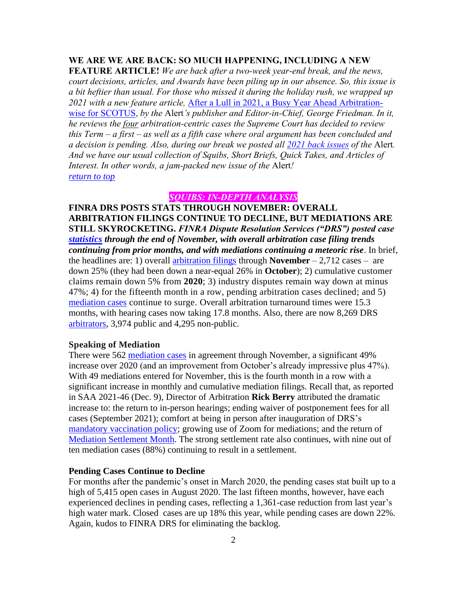# **WE ARE WE ARE BACK: SO MUCH HAPPENING, INCLUDING A NEW**

**FEATURE ARTICLE!** *We are back after a two-week year-end break, and the news, court decisions, articles, and Awards have been piling up in our absence. So, this issue is a bit heftier than usual. For those who missed it during the holiday rush, we wrapped up 2021 with a new feature article,* [After a Lull in 2021, a Busy Year Ahead Arbitration](https://www.secarbalert.com/blog/after-a-lull-in-2021-a-busy-year-ahead-arbitration-wise-for-scotus/)[wise for SCOTUS,](https://www.secarbalert.com/blog/after-a-lull-in-2021-a-busy-year-ahead-arbitration-wise-for-scotus/) *by the* Alert*'s publisher and Editor-in-Chief, George Friedman. In it, he reviews the four arbitration-centric cases the Supreme Court has decided to review this Term – a first – as well as a fifth case where oral argument has been concluded and a decision is pending. Also, during our break we posted all [2021 back issues](https://secarbalert.com/wp-content/uploads/2021/12/SAA-Back-Issues-2021-FULL-YEAR.pdf) of the* Alert*. And we have our usual collection of Squibs, Short Briefs, Quick Takes, and Articles of Interest. In other words, a jam-packed new issue of the* Alert*! [return to top](#page-0-0)*

# *SQUIBS: IN-DEPTH ANALYSIS*

<span id="page-1-0"></span>**FINRA DRS POSTS STATS THROUGH NOVEMBER: OVERALL ARBITRATION FILINGS CONTINUE TO DECLINE, BUT MEDIATIONS ARE STILL SKYROCKETING.** *FINRA Dispute Resolution Services ("DRS") posted case [statistics](http://www.finra.org/arbitration-and-mediation/dispute-resolution-statistics) through the end of November, with overall arbitration case filing trends continuing from prior months, and with mediations continuing a meteoric rise*. In brief, the headlines are: 1) overall [arbitration filings](https://www.finra.org/arbitration-mediation/dispute-resolution-statistics#arbitrationstats) through **November** – 2,712 cases – are down 25% (they had been down a near-equal 26% in **October**); 2) cumulative customer claims remain down 5% from **2020**; 3) industry disputes remain way down at minus 47%; 4) for the fifteenth month in a row, pending arbitration cases declined; and 5) [mediation cases](https://www.finra.org/arbitration-and-mediation/dispute-resolution-statistics#mediationstats) continue to surge. Overall arbitration turnaround times were 15.3 months, with hearing cases now taking 17.8 months. Also, there are now 8,269 DRS [arbitrators,](https://www.finra.org/arbitration-and-mediation/dispute-resolution-statistics#arbitratorsbytype) 3,974 public and 4,295 non-public.

# **Speaking of Mediation**

There were 562 [mediation cases](https://www.finra.org/arbitration-and-mediation/dispute-resolution-statistics#mediationstats) in agreement through November, a significant 49% increase over 2020 (and an improvement from October's already impressive plus 47%). With 49 mediations entered for November, this is the fourth month in a row with a significant increase in monthly and cumulative mediation filings. Recall that, as reported in SAA 2021-46 (Dec. 9), Director of Arbitration **Rick Berry** attributed the dramatic increase to: the return to in-person hearings; ending waiver of postponement fees for all cases (September 2021); comfort at being in person after inauguration of DRS's [mandatory vaccination policy;](https://www.finra.org/rules-guidance/key-topics/covid-19/hearings/impact-on-arbitration-mediation) growing use of Zoom for mediations; and the return of [Mediation Settlement Month.](https://www.finra.org/arbitration-mediation/october-finra-mediation-settlement-month) The strong settlement rate also continues, with nine out of ten mediation cases (88%) continuing to result in a settlement.

#### **Pending Cases Continue to Decline**

For months after the pandemic's onset in March 2020, the pending cases stat built up to a high of 5,415 open cases in August 2020. The last fifteen months, however, have each experienced declines in pending cases, reflecting a 1,361-case reduction from last year's high water mark. Closed cases are up 18% this year, while pending cases are down 22%. Again, kudos to FINRA DRS for eliminating the backlog.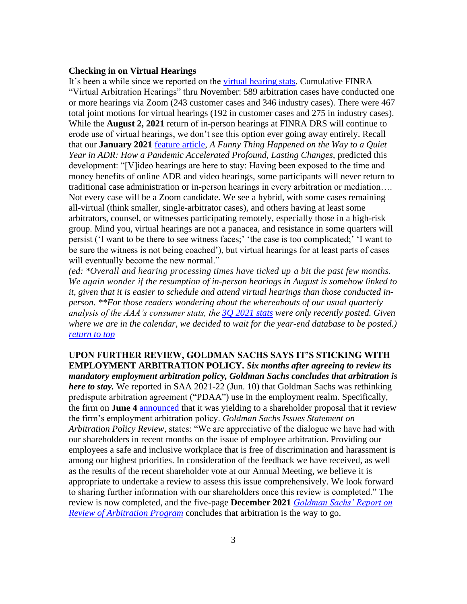## **Checking in on Virtual Hearings**

It's been a while since we reported on the [virtual hearing stats.](https://www.finra.org/arbitration-mediation/dispute-resolution-statistics#virtual) Cumulative FINRA "Virtual Arbitration Hearings" thru November: 589 arbitration cases have conducted one or more hearings via Zoom (243 customer cases and 346 industry cases). There were 467 total joint motions for virtual hearings (192 in customer cases and 275 in industry cases). While the **August 2, 2021** return of in-person hearings at FINRA DRS will continue to erode use of virtual hearings, we don't see this option ever going away entirely. Recall that our **January 2021** [feature article,](https://www.secarbalert.com/blog/a-funny-thing-happened-on-the-way-to-a-quiet-year-in-adr-how-a-pandemic-accelerated-profound-lasting-changes/) *A Funny Thing Happened on the Way to a Quiet Year in ADR: How a Pandemic Accelerated Profound, Lasting Changes,* predicted this development: "[V]ideo hearings are here to stay: Having been exposed to the time and money benefits of online ADR and video hearings, some participants will never return to traditional case administration or in-person hearings in every arbitration or mediation…. Not every case will be a Zoom candidate. We see a hybrid, with some cases remaining all-virtual (think smaller, single-arbitrator cases), and others having at least some arbitrators, counsel, or witnesses participating remotely, especially those in a high-risk group. Mind you, virtual hearings are not a panacea, and resistance in some quarters will persist ('I want to be there to see witness faces;' 'the case is too complicated;' 'I want to be sure the witness is not being coached'), but virtual hearings for at least parts of cases will eventually become the new normal."

*(ed: \*Overall and hearing processing times have ticked up a bit the past few months. We again wonder if the resumption of in-person hearings in August is somehow linked to it, given that it is easier to schedule and attend virtual hearings than those conducted inperson. \*\*For those readers wondering about the whereabouts of our usual quarterly analysis of the AAA's consumer stats, the [3Q 2021 stats](https://adr.org/ConsumerArbitrationStatistics) were only recently posted. Given where we are in the calendar, we decided to wait for the year-end database to be posted.) [return to top](#page-0-0)*

<span id="page-2-0"></span>**UPON FURTHER REVIEW, GOLDMAN SACHS SAYS IT'S STICKING WITH EMPLOYMENT ARBITRATION POLICY.** *Six months after agreeing to review its mandatory employment arbitration policy, Goldman Sachs concludes that arbitration is here to stay.* We reported in SAA 2021-22 (Jun. 10) that Goldman Sachs was rethinking predispute arbitration agreement ("PDAA") use in the employment realm. Specifically, the firm on **June 4** [announced](https://www.goldmansachs.com/media-relations/press-releases/2021/gs-statement-on-arbitration-policy-review.html) that it was yielding to a shareholder proposal that it review the firm's employment arbitration policy. *Goldman Sachs Issues Statement on Arbitration Policy Review*, states: "We are appreciative of the dialogue we have had with our shareholders in recent months on the issue of employee arbitration. Providing our employees a safe and inclusive workplace that is free of discrimination and harassment is among our highest priorities. In consideration of the feedback we have received, as well as the results of the recent shareholder vote at our Annual Meeting, we believe it is appropriate to undertake a review to assess this issue comprehensively. We look forward to sharing further information with our shareholders once this review is completed." The review is now completed, and the five-page **December 2021** *[Goldman Sachs' Report on](https://www.goldmansachs.com/investor-relations/corporate-governance/corporate-governance-documents/report-on-review-of-arbitration-program.pdf)  [Review of Arbitration Program](https://www.goldmansachs.com/investor-relations/corporate-governance/corporate-governance-documents/report-on-review-of-arbitration-program.pdf)* concludes that arbitration is the way to go.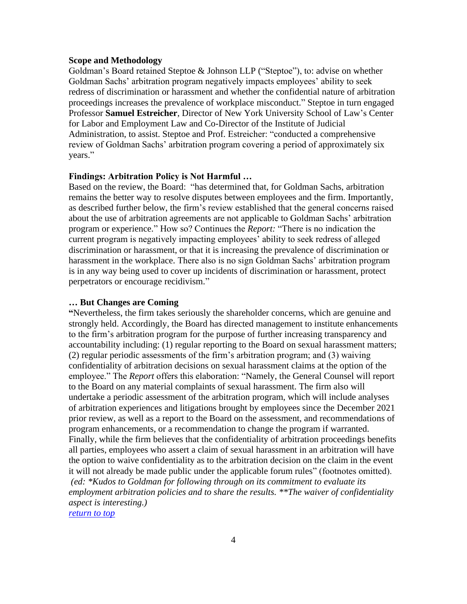#### **Scope and Methodology**

Goldman's Board retained Steptoe & Johnson LLP ("Steptoe"), to: advise on whether Goldman Sachs' arbitration program negatively impacts employees' ability to seek redress of discrimination or harassment and whether the confidential nature of arbitration proceedings increases the prevalence of workplace misconduct." Steptoe in turn engaged Professor **Samuel Estreicher**, Director of New York University School of Law's Center for Labor and Employment Law and Co-Director of the Institute of Judicial Administration, to assist. Steptoe and Prof. Estreicher: "conducted a comprehensive review of Goldman Sachs' arbitration program covering a period of approximately six years."

## **Findings: Arbitration Policy is Not Harmful …**

Based on the review, the Board: "has determined that, for Goldman Sachs, arbitration remains the better way to resolve disputes between employees and the firm. Importantly, as described further below, the firm's review established that the general concerns raised about the use of arbitration agreements are not applicable to Goldman Sachs' arbitration program or experience." How so? Continues the *Report:* "There is no indication the current program is negatively impacting employees' ability to seek redress of alleged discrimination or harassment, or that it is increasing the prevalence of discrimination or harassment in the workplace. There also is no sign Goldman Sachs' arbitration program is in any way being used to cover up incidents of discrimination or harassment, protect perpetrators or encourage recidivism."

#### **… But Changes are Coming**

**"**Nevertheless, the firm takes seriously the shareholder concerns, which are genuine and strongly held. Accordingly, the Board has directed management to institute enhancements to the firm's arbitration program for the purpose of further increasing transparency and accountability including: (1) regular reporting to the Board on sexual harassment matters; (2) regular periodic assessments of the firm's arbitration program; and (3) waiving confidentiality of arbitration decisions on sexual harassment claims at the option of the employee." The *Report* offers this elaboration: "Namely, the General Counsel will report to the Board on any material complaints of sexual harassment. The firm also will undertake a periodic assessment of the arbitration program, which will include analyses of arbitration experiences and litigations brought by employees since the December 2021 prior review, as well as a report to the Board on the assessment, and recommendations of program enhancements, or a recommendation to change the program if warranted. Finally, while the firm believes that the confidentiality of arbitration proceedings benefits all parties, employees who assert a claim of sexual harassment in an arbitration will have the option to waive confidentiality as to the arbitration decision on the claim in the event it will not already be made public under the applicable forum rules" (footnotes omitted). *(ed: \*Kudos to Goldman for following through on its commitment to evaluate its employment arbitration policies and to share the results. \*\*The waiver of confidentiality aspect is interesting.) [return to top](#page-0-0)*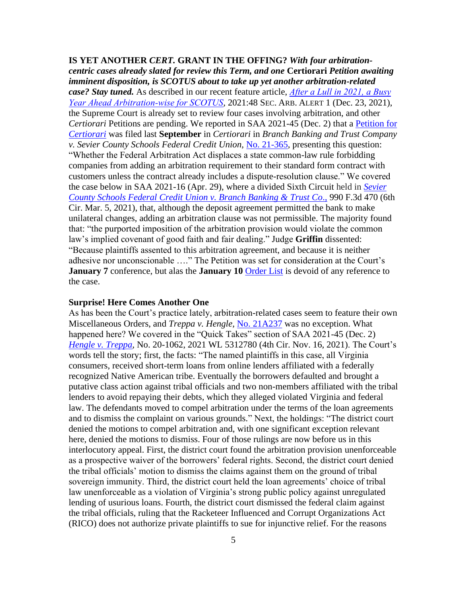<span id="page-4-0"></span>**IS YET ANOTHER** *CERT.* **GRANT IN THE OFFING?** *With four arbitrationcentric cases already slated for review this Term, and one* **Certiorari** *Petition awaiting imminent disposition, is SCOTUS about to take up yet another arbitration-related case? Stay tuned.* As described in our recent feature article, *[After a Lull in 2021, a Busy](https://www.secarbalert.com/blog/after-a-lull-in-2021-a-busy-year-ahead-arbitration-wise-for-scotus/)  [Year Ahead Arbitration-wise for SCOTUS](https://www.secarbalert.com/blog/after-a-lull-in-2021-a-busy-year-ahead-arbitration-wise-for-scotus/),* 2021:48 SEC. ARB. ALERT 1 (Dec. 23, 2021), the Supreme Court is already set to review four cases involving arbitration, and other *Certiorari* Petitions are pending. We reported in SAA 2021-45 (Dec. 2) that a [Petition for](https://www.supremecourt.gov/DocketPDF/21/21-365/191527/20210907133846668_BBT%20v.%20Sevier%20County%20Petition.pdf)  *[Certiorari](https://www.supremecourt.gov/DocketPDF/21/21-365/191527/20210907133846668_BBT%20v.%20Sevier%20County%20Petition.pdf)* was filed last **September** in *Certiorari* in *Branch Banking and Trust Company v. Sevier County Schools Federal Credit Union,* [No. 21-365,](https://www.supremecourt.gov/search.aspx?filename=/docket/docketfiles/html/public/21-365.html) presenting this question: "Whether the Federal Arbitration Act displaces a state common-law rule forbidding companies from adding an arbitration requirement to their standard form contract with customers unless the contract already includes a dispute-resolution clause." We covered the case below in SAA 2021-16 (Apr. 29), where a divided Sixth Circuit held in *[Sevier](https://www.opn.ca6.uscourts.gov/opinions.pdf/21a0058p-06.pdf)  [County Schools Federal Credit Union v. Branch Banking & Trust Co](https://www.opn.ca6.uscourts.gov/opinions.pdf/21a0058p-06.pdf)*., 990 F.3d 470 (6th Cir. Mar. 5, 2021), that, although the deposit agreement permitted the bank to make unilateral changes, adding an arbitration clause was not permissible. The majority found that: "the purported imposition of the arbitration provision would violate the common law's implied covenant of good faith and fair dealing." Judge **Griffin** dissented: "Because plaintiffs assented to this arbitration agreement, and because it is neither adhesive nor unconscionable …." The Petition was set for consideration at the Court's **January 7** conference, but alas the **January 10** [Order List](https://www.supremecourt.gov/orders/courtorders/011022zor_f2ag.pdf) is devoid of any reference to the case.

## **Surprise! Here Comes Another One**

As has been the Court's practice lately, arbitration-related cases seem to feature their own Miscellaneous Orders, and *Treppa v. Hengle,* [No. 21A237](https://www.supremecourt.gov/search.aspx?filename=/docket/docketfiles/html/public/21a237.html) was no exception. What happened here? We covered in the "Quick Takes" section of SAA 2021-45 (Dec. 2) *[Hengle v. Treppa,](https://cases.justia.com/federal/appellate-courts/ca4/20-1062/20-1062-2021-11-16.pdf?ts=1637091027)* No. 20-1062, 2021 WL 5312780 (4th Cir. Nov. 16, 2021). The Court's words tell the story; first, the facts: "The named plaintiffs in this case, all Virginia consumers, received short-term loans from online lenders affiliated with a federally recognized Native American tribe. Eventually the borrowers defaulted and brought a putative class action against tribal officials and two non-members affiliated with the tribal lenders to avoid repaying their debts, which they alleged violated Virginia and federal law. The defendants moved to compel arbitration under the terms of the loan agreements and to dismiss the complaint on various grounds." Next, the holdings: "The district court denied the motions to compel arbitration and, with one significant exception relevant here, denied the motions to dismiss. Four of those rulings are now before us in this interlocutory appeal. First, the district court found the arbitration provision unenforceable as a prospective waiver of the borrowers' federal rights. Second, the district court denied the tribal officials' motion to dismiss the claims against them on the ground of tribal sovereign immunity. Third, the district court held the loan agreements' choice of tribal law unenforceable as a violation of Virginia's strong public policy against unregulated lending of usurious loans. Fourth, the district court dismissed the federal claim against the tribal officials, ruling that the Racketeer Influenced and Corrupt Organizations Act (RICO) does not authorize private plaintiffs to sue for injunctive relief. For the reasons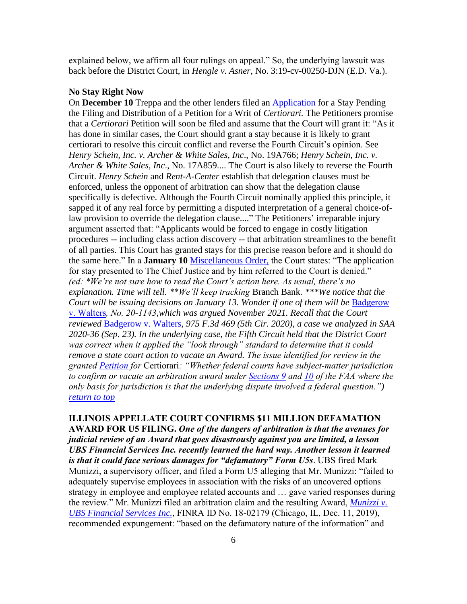explained below, we affirm all four rulings on appeal." So, the underlying lawsuit was back before the District Court, in *Hengle v. Asner,* No. 3:19-cv-00250-DJN (E.D. Va.).

#### **No Stay Right Now**

On **December 10** Treppa and the other lenders filed an [Application](https://www.supremecourt.gov/DocketPDF/21/21A237/205066/20211214170701356_Asner%20-%20Stay%20Application%20for%20filing.pdf) for a Stay Pending the Filing and Distribution of a Petition for a Writ of *Certiorari.* The Petitioners promise that a *Certiorari* Petition will soon be filed and assume that the Court will grant it: "As it has done in similar cases, the Court should grant a stay because it is likely to grant certiorari to resolve this circuit conflict and reverse the Fourth Circuit's opinion. See *Henry Schein, Inc. v. Archer & White Sales, Inc*., No. 19A766; *Henry Schein, Inc. v. Archer & White Sales, Inc*., No. 17A859.... The Court is also likely to reverse the Fourth Circuit. *Henry Schein* and *Rent-A-Center* establish that delegation clauses must be enforced, unless the opponent of arbitration can show that the delegation clause specifically is defective. Although the Fourth Circuit nominally applied this principle, it sapped it of any real force by permitting a disputed interpretation of a general choice-oflaw provision to override the delegation clause...." The Petitioners' irreparable injury argument asserted that: "Applicants would be forced to engage in costly litigation procedures -- including class action discovery -- that arbitration streamlines to the benefit of all parties. This Court has granted stays for this precise reason before and it should do the same here." In a **January 10** [Miscellaneous Order,](https://www.supremecourt.gov/orders/courtorders/011022zr_3d9g.pdf) the Court states: "The application for stay presented to The Chief Justice and by him referred to the Court is denied." *(ed: \*We're not sure how to read the Court's action here. As usual, there's no explanation. Time will tell. \*\*We'll keep tracking* Branch Bank*. \*\*\*We notice that the Court will be issuing decisions on January 13. Wonder if one of them will be* [Badgerow](https://www.supremecourt.gov/docket/docketfiles/html/public/20-1143.html)  [v. Walters](https://www.supremecourt.gov/docket/docketfiles/html/public/20-1143.html)*, No. 20-1143,which was argued November 2021. Recall that the Court reviewed* [Badgerow v. Walters](https://cases.justia.com/federal/appellate-courts/ca5/19-30766/19-30766-2020-09-15.pdf?ts=1600191042)*, 975 F.3d 469 (5th Cir. 2020), a case we analyzed in SAA 2020-36 (Sep. 23). In the underlying case, the Fifth Circuit held that the District Court was correct when it applied the "look through" standard to determine that it could remove a state court action to vacate an Award. The issue identified for review in the granted [Petition](https://www.supremecourt.gov/DocketPDF/20/20-1143/168897/20210212125705261_badgerow%20--%20cert.%20petition%20--%20FILED.pdf) for* Certiorari*: "Whether federal courts have subject-matter jurisdiction to confirm or vacate an arbitration award under [Sections 9](https://www.law.cornell.edu/uscode/text/9/9) and [10](https://www.law.cornell.edu/uscode/text/9/10) of the FAA where the only basis for jurisdiction is that the underlying dispute involved a federal question.") [return to top](#page-0-0)*

# <span id="page-5-0"></span>**ILLINOIS APPELLATE COURT CONFIRMS \$11 MILLION DEFAMATION AWARD FOR U5 FILING.** *One of the dangers of arbitration is that the avenues for judicial review of an Award that goes disastrously against you are limited, a lesson UBS Financial Services Inc. recently learned the hard way. Another lesson it learned is that it could face serious damages for "defamatory" Form U5s*. UBS fired Mark Munizzi, a supervisory officer, and filed a Form U5 alleging that Mr. Munizzi: "failed to adequately supervise employees in association with the risks of an uncovered options strategy in employee and employee related accounts and … gave varied responses during the review." Mr. Munizzi filed an arbitration claim and the resulting Award, *[Munizzi v.](https://www.arbchek.com/files/pdf/18-02179.pdf)  [UBS Financial Services Inc.](https://www.arbchek.com/files/pdf/18-02179.pdf)*, FINRA ID No. 18-02179 (Chicago, IL, Dec. 11, 2019), recommended expungement: "based on the defamatory nature of the information" and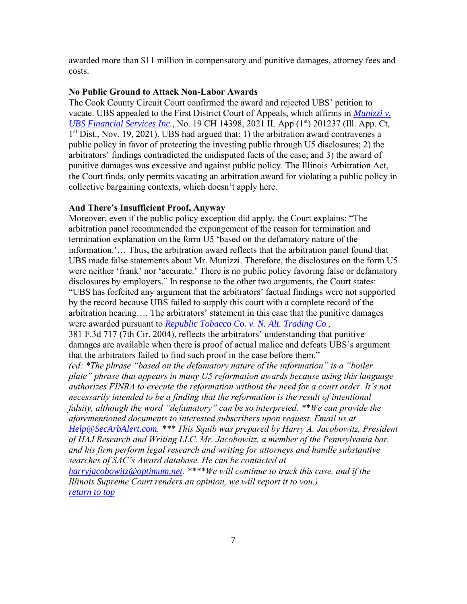awarded more than \$11 million in compensatory and punitive damages, attorney fees and costs.

## **No Public Ground to Attack Non-Labor Awards**

The Cook County Circuit Court confirmed the award and rejected UBS' petition to vacate. UBS appealed to the First District Court of Appeals, which affirms in *[Munizzi v.](https://ilcourtsaudio.blob.core.windows.net/antilles-resources/resources/088e66e0-e695-48cb-b2e0-5ce16dc75ed5/Munizzi%20v.%20UBS%20Financial%20Services,%20Inc.,%202021%20IL%20App%20(1st)%20201237.pdf)  [UBS Financial Services Inc.](https://ilcourtsaudio.blob.core.windows.net/antilles-resources/resources/088e66e0-e695-48cb-b2e0-5ce16dc75ed5/Munizzi%20v.%20UBS%20Financial%20Services,%20Inc.,%202021%20IL%20App%20(1st)%20201237.pdf)*, No. 19 CH 14398, 2021 IL App (1<sup>st</sup>) 201237 (Ill. App. Ct, 1<sup>st</sup> Dist., Nov. 19, 2021). UBS had argued that: 1) the arbitration award contravenes a public policy in favor of protecting the investing public through U5 disclosures; 2) the arbitrators' findings contradicted the undisputed facts of the case; and 3) the award of punitive damages was excessive and against public policy. The Illinois Arbitration Act, the Court finds, only permits vacating an arbitration award for violating a public policy in collective bargaining contexts, which doesn't apply here.

#### **And There's Insufficient Proof, Anyway**

Moreover, even if the public policy exception did apply, the Court explains: "The arbitration panel recommended the expungement of the reason for termination and termination explanation on the form U5 'based on the defamatory nature of the information.'… Thus, the arbitration award reflects that the arbitration panel found that UBS made false statements about Mr. Munizzi. Therefore, the disclosures on the form U5 were neither 'frank' nor 'accurate.' There is no public policy favoring false or defamatory disclosures by employers." In response to the other two arguments, the Court states: "UBS has forfeited any argument that the arbitrators' factual findings were not supported by the record because UBS failed to supply this court with a complete record of the arbitration hearing…. The arbitrators' statement in this case that the punitive damages were awarded pursuant to *[Republic Tobacco Co. v. N. Alt. Trading Co](https://casetext.com/case/republic-tobacco-v-north-atlantic-trading).,* 381 F.3d 717 (7th Cir. 2004), reflects the arbitrators' understanding that punitive damages are available when there is proof of actual malice and defeats UBS's argument that the arbitrators failed to find such proof in the case before them." *(ed: \*The phrase "based on the defamatory nature of the information" is a "boiler plate" phrase that appears in many U5 reformation awards because using this language authorizes FINRA to execute the reformation without the need for a court order. It's not necessarily intended to be a finding that the reformation is the result of intentional falsity, although the word "defamatory" can be so interpreted. \*\*We can provide the aforementioned documents to interested subscribers upon request. Email us at [Help@SecArbAlert.com](mailto:Help@SecArbAlert.com). \*\*\* This Squib was prepared by Harry A. Jacobowitz, President of HAJ Research and Writing LLC. Mr. Jacobowitz, a member of the Pennsylvania bar, and his firm perform legal research and writing for attorneys and handle substantive searches of SAC's Award database. He can be contacted at [harryjacobowitz@optimum.net](mailto:harryjacobowitz@optimum.net). \*\*\*\*We will continue to track this case, and if the* 

*Illinois Supreme Court renders an opinion, we will report it to you.) [return to top](#page-0-0)*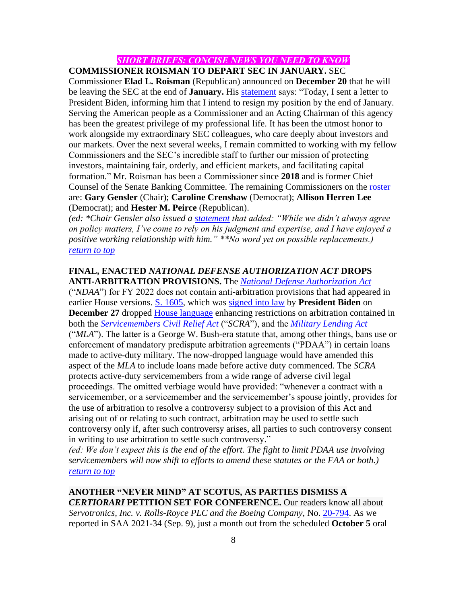# *SHORT BRIEFS: CONCISE NEWS YOU NEED TO KNOW*

<span id="page-7-0"></span>**COMMISSIONER ROISMAN TO DEPART SEC IN JANUARY.** SEC

Commissioner **Elad L. Roisman** (Republican) announced on **December 20** that he will be leaving the SEC at the end of **January.** His [statement](https://www.sec.gov/news/statement/roisman-20211220) says: "Today, I sent a letter to President Biden, informing him that I intend to resign my position by the end of January. Serving the American people as a Commissioner and an Acting Chairman of this agency has been the greatest privilege of my professional life. It has been the utmost honor to work alongside my extraordinary SEC colleagues, who care deeply about investors and our markets. Over the next several weeks, I remain committed to working with my fellow Commissioners and the SEC's incredible staff to further our mission of protecting investors, maintaining fair, orderly, and efficient markets, and facilitating capital formation." Mr. Roisman has been a Commissioner since **2018** and is former Chief Counsel of the Senate Banking Committee. The remaining Commissioners on the [roster](http://www.sec.gov/about/commissioner.shtml) are: **Gary Gensler** (Chair); **Caroline Crenshaw** (Democrat); **Allison Herren Lee** (Democrat); and **Hester M. Peirce** (Republican).

*(ed: \*Chair Gensler also issued a [statement](https://www.sec.gov/news/statement/gensler-statement-roisman-departure-122021) that added: "While we didn't always agree on policy matters, I've come to rely on his judgment and expertise, and I have enjoyed a positive working relationship with him." \*\*No word yet on possible replacements.) [return to top](#page-0-0)*

### <span id="page-7-1"></span>**FINAL, ENACTED** *NATIONAL DEFENSE AUTHORIZATION ACT* **DROPS ANTI-ARBITRATION PROVISIONS.** The *[National Defense Authorization Act](https://rules.house.gov/sites/democrats.rules.house.gov/files/BILLS-117S1605-RCP117-21.pdf)*

("*NDAA*") for FY 2022 does not contain anti-arbitration provisions that had appeared in earlier House versions. [S. 1605,](https://www.congress.gov/bill/117th-congress/senate-bill/1605) which was [signed into law](https://www.whitehouse.gov/briefing-room/statements-releases/2021/12/27/statement-by-the-president-on-s-1605-the-national-defense-authorization-act-for-fiscal-year-2022/) by **President Biden** on **December 27** dropped [House language](https://amendments-rules.house.gov/amendments/Cicilline%20SCRA%20Arb%20Amd%20FY22210915104138594.pdf) enhancing restrictions on arbitration contained in both the *[Servicemembers Civil Relief Act](https://www.militaryonesource.mil/family-relationships/relationships/relationship-challenges-and-divorce/servicemembers-civil-relief-act)* ("*SCRA*"), and the *[Military Lending Act](https://www.fdic.gov/regulations/compliance/manual/5/v-13.1.pdf)* ("*MLA*"). The latter is a George W. Bush-era statute that, among other things, bans use or enforcement of mandatory predispute arbitration agreements ("PDAA") in certain loans made to active-duty military. The now-dropped language would have amended this aspect of the *MLA* to include loans made before active duty commenced. The *SCRA* protects active-duty servicemembers from a wide range of adverse civil legal proceedings. The omitted verbiage would have provided: "whenever a contract with a servicemember, or a servicemember and the servicemember's spouse jointly, provides for the use of arbitration to resolve a controversy subject to a provision of this Act and arising out of or relating to such contract, arbitration may be used to settle such controversy only if, after such controversy arises, all parties to such controversy consent in writing to use arbitration to settle such controversy."

*(ed: We don't expect this is the end of the effort. The fight to limit PDAA use involving servicemembers will now shift to efforts to amend these statutes or the FAA or both.) [return to top](#page-0-0)*

<span id="page-7-2"></span>**ANOTHER "NEVER MIND" AT SCOTUS, AS PARTIES DISMISS A** *CERTIORARI* **PETITION SET FOR CONFERENCE.** Our readers know all about *Servotronics, Inc. v. Rolls-Royce PLC and the Boeing Company,* No. [20-794.](https://www.supremecourt.gov/Search.aspx?FileName=/docket/docketfiles/html/public/20-794.html) As we reported in SAA 2021-34 (Sep. 9), just a month out from the scheduled **October 5** oral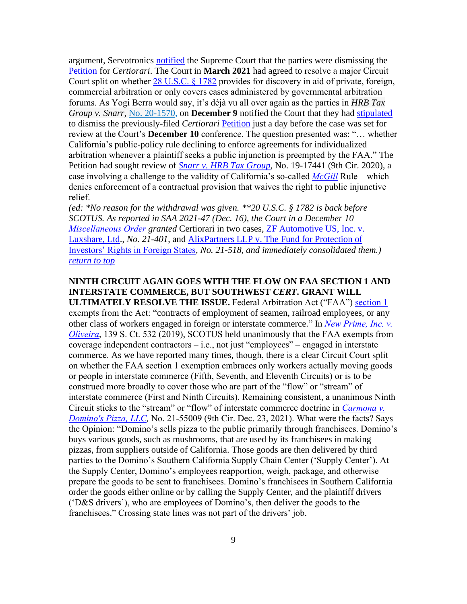argument, Servotronics [notified](https://www.supremecourt.gov/DocketPDF/20/20-794/193635/20210924125539736_20-794%20Dismissal%20Stipulation.pdf) the Supreme Court that the parties were dismissing the [Petition](https://www.supremecourt.gov/DocketPDF/20/20-794/162881/20201207153530435_Petition.pdf) for *Certiorari*. The Court in **March 2021** had agreed to resolve a major Circuit Court split on whether  $28$  U.S.C.  $\S 1782$  provides for discovery in aid of private, foreign, commercial arbitration or only covers cases administered by governmental arbitration forums. As Yogi Berra would say, it's déjà vu all over again as the parties in *HRB Tax Group v. Snarr*, No. [20-1570,](https://www.supremecourt.gov/Search.aspx?FileName=/docket/docketfiles/html/public%5C20-1570.html) on **December 9** notified the Court that they had [stipulated](https://www.supremecourt.gov/DocketPDF/20/20-1570/204650/20211209145306403_HR%20Block%20v%20Snarr%20stipulated%20dismissal%20PDFA.pdf) to dismiss the previously-filed *Certiorari* [Petition](https://www.supremecourt.gov/DocketPDF/20/20-1570/178752/20210510152057043_Snarr%20-%20Cert%20Petition.pdf) just a day before the case was set for review at the Court's **December 10** conference. The question presented was: "… whether California's public-policy rule declining to enforce agreements for individualized arbitration whenever a plaintiff seeks a public injunction is preempted by the FAA." The Petition had sought review of *[Snarr v. HRB Tax Group](https://casetext.com/case/snarr-v-hrb-tax-grp-inc)*, No. 19-17441 (9th Cir. 2020), a case involving a challenge to the validity of California's so-called *[McGill](https://law.justia.com/cases/california/supreme-court/2017/s224086.html)* Rule – which denies enforcement of a contractual provision that waives the right to public injunctive relief.

*(ed: \*No reason for the withdrawal was given. \*\*20 U.S.C. § 1782 is back before SCOTUS. As reported in SAA 2021-47 (Dec. 16), the Court in a December 10 [Miscellaneous Order](https://www.supremecourt.gov/orders/courtorders/121021zr_d1o2.pdf) granted* Certiorari in two cases, [ZF Automotive US, Inc. v.](https://www.supremecourt.gov/search.aspx?filename=/docket/docketfiles/html/public/21-401.html)  [Luxshare, Ltd.](https://www.supremecourt.gov/search.aspx?filename=/docket/docketfiles/html/public/21-401.html)*, No. 21-401*, and [AlixPartners LLP v. The Fund for Protection of](https://www.supremecourt.gov/docket/docketfiles/html/public/21-518.html)  [Investors' Rights in Foreign States](https://www.supremecourt.gov/docket/docketfiles/html/public/21-518.html)*, No. 21-518, and immediately consolidated them.) [return to top](#page-0-0)*

# <span id="page-8-0"></span>**NINTH CIRCUIT AGAIN GOES WITH THE FLOW ON FAA SECTION 1 AND INTERSTATE COMMERCE, BUT SOUTHWEST** *CERT***. GRANT WILL**

**ULTIMATELY RESOLVE THE ISSUE.** Federal Arbitration Act ("FAA") [section 1](https://www.law.cornell.edu/uscode/text/9/1) exempts from the Act: "contracts of employment of seamen, railroad employees, or any other class of workers engaged in foreign or interstate commerce." In *[New Prime, Inc. v.](https://casetext.com/case/new-prime-inc-v-oliveira-1)  [Oliveira](https://casetext.com/case/new-prime-inc-v-oliveira-1)*, 139 S. Ct. 532 (2019), SCOTUS held unanimously that the FAA exempts from coverage independent contractors – i.e., not just "employees" – engaged in interstate commerce. As we have reported many times, though, there is a clear Circuit Court split on whether the FAA section 1 exemption embraces only workers actually moving goods or people in interstate commerce (Fifth, Seventh, and Eleventh Circuits) or is to be construed more broadly to cover those who are part of the "flow" or "stream" of interstate commerce (First and Ninth Circuits). Remaining consistent, a unanimous Ninth Circuit sticks to the "stream" or "flow" of interstate commerce doctrine in *[Carmona v.](https://cases.justia.com/federal/appellate-courts/ca9/21-55009/21-55009-2021-12-23.pdf?ts=1640282769)  [Domino's Pizza, LLC,](https://cases.justia.com/federal/appellate-courts/ca9/21-55009/21-55009-2021-12-23.pdf?ts=1640282769)* No. 21-55009 (9th Cir. Dec. 23, 2021). What were the facts? Says the Opinion: "Domino's sells pizza to the public primarily through franchisees. Domino's buys various goods, such as mushrooms, that are used by its franchisees in making pizzas, from suppliers outside of California. Those goods are then delivered by third parties to the Domino's Southern California Supply Chain Center ('Supply Center'). At the Supply Center, Domino's employees reapportion, weigh, package, and otherwise prepare the goods to be sent to franchisees. Domino's franchisees in Southern California order the goods either online or by calling the Supply Center, and the plaintiff drivers ('D&S drivers'), who are employees of Domino's, then deliver the goods to the franchisees." Crossing state lines was not part of the drivers' job.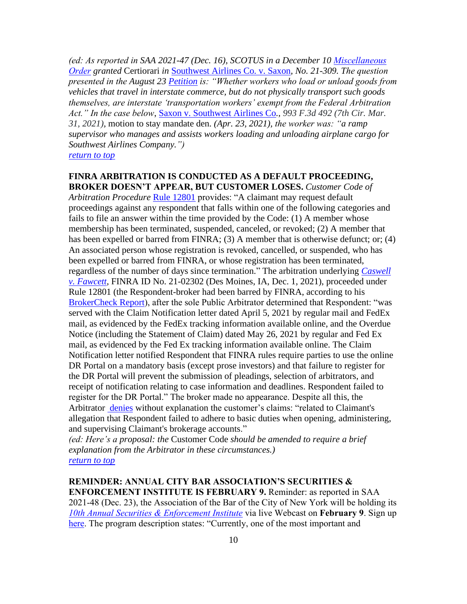*(ed: As reported in SAA 2021-47 (Dec. 16), SCOTUS in a December 10 [Miscellaneous](https://www.supremecourt.gov/orders/courtorders/121021zr_d1o2.pdf)  [Order](https://www.supremecourt.gov/orders/courtorders/121021zr_d1o2.pdf) granted* Certiorari *in* [Southwest Airlines Co. v. Saxon](https://www.supremecourt.gov/search.aspx?filename=/docket/docketfiles/html/public/21-309.html)*, No. 21-309. The question presented in the August 23 [Petition](https://www.supremecourt.gov/DocketPDF/21/21-309/188764/20210827152547454_Southwest%20Airline%20Co%20v%20Saxon%20Petition.pdf) is: "Whether workers who load or unload goods from vehicles that travel in interstate commerce, but do not physically transport such goods themselves, are interstate 'transportation workers' exempt from the Federal Arbitration Act." In the case below*, [Saxon v. Southwest Airlines Co](https://casetext.com/case/saxon-v-sw-airlines-co-1)*., 993 F.3d 492 (7th Cir. Mar. 31, 2021),* motion to stay mandate den. *(Apr. 23, 2021), the worker was: "a ramp supervisor who manages and assists workers loading and unloading airplane cargo for Southwest Airlines Company.")*

*[return to top](#page-0-0)*

# <span id="page-9-0"></span>**FINRA ARBITRATION IS CONDUCTED AS A DEFAULT PROCEEDING, BROKER DOESN'T APPEAR, BUT CUSTOMER LOSES.** *Customer Code of*

*Arbitration Procedure* [Rule 12801](https://www.finra.org/rules-guidance/rulebooks/finra-rules/12801) provides: "A claimant may request default proceedings against any respondent that falls within one of the following categories and fails to file an answer within the time provided by the Code: (1) A member whose membership has been terminated, suspended, canceled, or revoked; (2) A member that has been expelled or barred from FINRA; (3) A member that is otherwise defunct; or; (4) An associated person whose registration is revoked, cancelled, or suspended, who has been expelled or barred from FINRA, or whose registration has been terminated, regardless of the number of days since termination." The arbitration underlying *[Caswell](https://www.finra.org/sites/default/files/aao_documents/21-02302.pdf)  [v. Fawcett](https://www.finra.org/sites/default/files/aao_documents/21-02302.pdf)*, FINRA ID No. 21-02302 (Des Moines, IA, Dec. 1, 2021), proceeded under Rule 12801 (the Respondent-broker had been barred by FINRA, according to his [BrokerCheck Report\)](https://brokercheck.finra.org/individual/summary/5851474), after the sole Public Arbitrator determined that Respondent: "was served with the Claim Notification letter dated April 5, 2021 by regular mail and FedEx mail, as evidenced by the FedEx tracking information available online, and the Overdue Notice (including the Statement of Claim) dated May 26, 2021 by regular and Fed Ex mail, as evidenced by the Fed Ex tracking information available online. The Claim Notification letter notified Respondent that FINRA rules require parties to use the online DR Portal on a mandatory basis (except prose investors) and that failure to register for the DR Portal will prevent the submission of pleadings, selection of arbitrators, and receipt of notification relating to case information and deadlines. Respondent failed to register for the DR Portal." The broker made no appearance. Despite all this, the Arbitrator [denies](https://www.finra.org/sites/default/files/aao_documents/21-02302.pdf) without explanation the customer's claims: "related to Claimant's allegation that Respondent failed to adhere to basic duties when opening, administering, and supervising Claimant's brokerage accounts."

*(ed: Here's a proposal: the* Customer Code *should be amended to require a brief explanation from the Arbitrator in these circumstances.) [return to top](#page-0-0)*

<span id="page-9-1"></span>**REMINDER: ANNUAL CITY BAR ASSOCIATION'S SECURITIES & ENFORCEMENT INSTITUTE IS FEBRUARY 9.** Reminder: as reported in SAA 2021-48 (Dec. 23), the Association of the Bar of the City of New York will be holding its *[10th Annual Securities & Enforcement Institute](https://services.nycbar.org/EventDetail?EventKey=_WEB020922&mcode=SECARB)* via live Webcast on **February 9**. Sign up [here.](https://services.nycbar.org/EventDetail?EventKey=_WEB020922&mcode=SECARB) The program description states: "Currently, one of the most important and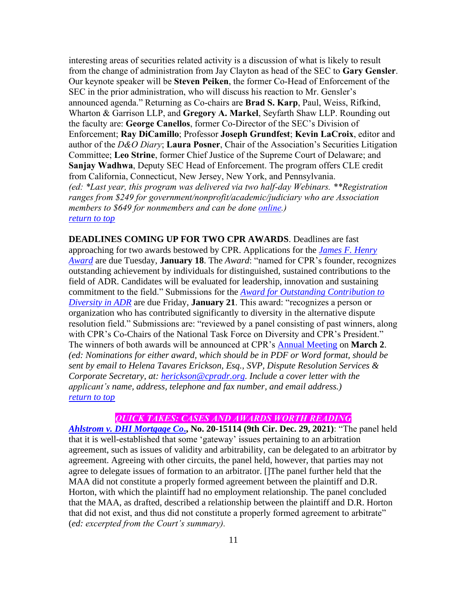interesting areas of securities related activity is a discussion of what is likely to result from the change of administration from Jay Clayton as head of the SEC to **Gary Gensler**. Our keynote speaker will be **Steven Peiken**, the former Co-Head of Enforcement of the SEC in the prior administration, who will discuss his reaction to Mr. Gensler's announced agenda." Returning as Co-chairs are **Brad S. Karp**, Paul, Weiss, Rifkind, Wharton & Garrison LLP, and **Gregory A. Markel**, Seyfarth Shaw LLP. Rounding out the faculty are: **George Canellos**, former Co-Director of the SEC's Division of Enforcement; **Ray DiCamillo**; Professor **Joseph Grundfest**; **Kevin LaCroix**, editor and author of the *D&O Diary*; **Laura Posner**, Chair of the Association's Securities Litigation Committee; **Leo Strine**, former Chief Justice of the Supreme Court of Delaware; and **Sanjay Wadhwa**, Deputy SEC Head of Enforcement. The program offers CLE credit from California, Connecticut, New Jersey, New York, and Pennsylvania. *(ed: \*Last year, this program was delivered via two half-day Webinars. \*\*Registration ranges from \$249 for government/nonprofit/academic/judiciary who are Association members to \$649 for nonmembers and can be done [online.](https://services.nycbar.org/EventDetail?EventKey=_WEB020922&mcode=SECARB)) [return to top](#page-0-0)*

<span id="page-10-0"></span>**DEADLINES COMING UP FOR TWO CPR AWARDS**. Deadlines are fast approaching for two awards bestowed by CPR. Applications for the *[James F. Henry](https://www.cpradr.org/events-classes/awards/annual-award/2021)  [Award](https://www.cpradr.org/events-classes/awards/annual-award/2021)* are due Tuesday, **January 18**. The *Award*: "named for CPR's founder, recognizes outstanding achievement by individuals for distinguished, sustained contributions to the field of ADR. Candidates will be evaluated for leadership, innovation and sustaining commitment to the field." Submissions for the *[Award for Outstanding Contribution to](https://www.cpradr.org/events-classes/awards/diversity-award)  [Diversity in ADR](https://www.cpradr.org/events-classes/awards/diversity-award)* are due Friday, **January 21**. This award: "recognizes a person or organization who has contributed significantly to diversity in the alternative dispute resolution field." Submissions are: "reviewed by a panel consisting of past winners, along with CPR's Co-Chairs of the National Task Force on Diversity and CPR's President." The winners of both awards will be announced at CPR's [Annual Meeting](https://www.cpradr.org/events-classes/annual/past/2021) on **March 2**. *(ed: Nominations for either award, which should be in PDF or Word format, should be sent by email to Helena Tavares Erickson, Esq., SVP, Dispute Resolution Services & Corporate Secretary, at: [herickson@cpradr.org.](mailto:herickson@cpradr.org) Include a cover letter with the applicant's name, address, telephone and fax number, and email address.) [return to top](#page-0-0)*

# *QUICK TAKES: CASES AND AWARDS WORTH READING*

<span id="page-10-1"></span>*[Ahlstrom v. DHI Mortgage Co](https://cases.justia.com/federal/appellate-courts/ca9/20-15114/20-15114-2021-12-29.pdf?ts=1640801128)***., No. 20-15114 (9th Cir. Dec. 29, 2021)**: "The panel held that it is well-established that some 'gateway' issues pertaining to an arbitration agreement, such as issues of validity and arbitrability, can be delegated to an arbitrator by agreement. Agreeing with other circuits, the panel held, however, that parties may not agree to delegate issues of formation to an arbitrator. []The panel further held that the MAA did not constitute a properly formed agreement between the plaintiff and D.R. Horton, with which the plaintiff had no employment relationship. The panel concluded that the MAA, as drafted, described a relationship between the plaintiff and D.R. Horton that did not exist, and thus did not constitute a properly formed agreement to arbitrate" (*ed: excerpted from the Court's summary).*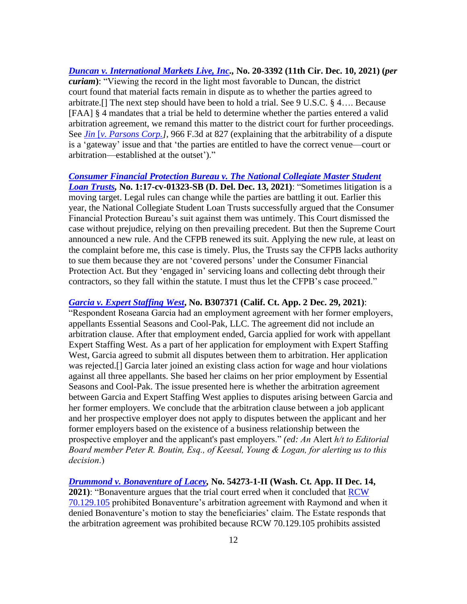*[Duncan v. International Markets Live, Inc.](https://cases.justia.com/federal/appellate-courts/ca8/20-3392/20-3392-2021-12-10.pdf?ts=1639153869),* **No. 20-3392 (11th Cir. Dec. 10, 2021) (***per curiam***)**: "Viewing the record in the light most favorable to Duncan, the district court found that material facts remain in dispute as to whether the parties agreed to arbitrate.[] The next step should have been to hold a trial. See 9 U.S.C. § 4…. Because [FAA] § 4 mandates that a trial be held to determine whether the parties entered a valid arbitration agreement, we remand this matter to the district court for further proceedings. See *Jin* [*[v. Parsons Corp.\]](https://casetext.com/case/jin-v-parsons-corp-1),* 966 F.3d at 827 (explaining that the arbitrability of a dispute is a 'gateway' issue and that 'the parties are entitled to have the correct venue—court or arbitration—established at the outset')."

*[Consumer Financial Protection Bureau v. The National Collegiate Master Student](https://www.govinfo.gov/content/pkg/USCOURTS-ded-1_17-cv-01323/pdf/USCOURTS-ded-1_17-cv-01323-4.pdf)  [Loan Trusts,](https://www.govinfo.gov/content/pkg/USCOURTS-ded-1_17-cv-01323/pdf/USCOURTS-ded-1_17-cv-01323-4.pdf)* **No. 1:17-cv-01323-SB (D. Del. Dec. 13, 2021)**: "Sometimes litigation is a moving target. Legal rules can change while the parties are battling it out. Earlier this year, the National Collegiate Student Loan Trusts successfully argued that the Consumer Financial Protection Bureau's suit against them was untimely. This Court dismissed the case without prejudice, relying on then prevailing precedent. But then the Supreme Court announced a new rule. And the CFPB renewed its suit. Applying the new rule, at least on the complaint before me, this case is timely. Plus, the Trusts say the CFPB lacks authority to sue them because they are not 'covered persons' under the Consumer Financial Protection Act. But they 'engaged in' servicing loans and collecting debt through their contractors, so they fall within the statute. I must thus let the CFPB's case proceed."

*[Garcia v. Expert Staffing West](https://scholar.google.com/scholar_case?case=9753563227586262455&hl=en&as_sdt=6&as_vis=1&oi=scholarr)***, No. B307371 (Calif. Ct. App. 2 Dec. 29, 2021)**:

"Respondent Roseana Garcia had an employment agreement with her former employers, appellants Essential Seasons and Cool-Pak, LLC. The agreement did not include an arbitration clause. After that employment ended, Garcia applied for work with appellant Expert Staffing West. As a part of her application for employment with Expert Staffing West, Garcia agreed to submit all disputes between them to arbitration. Her application was rejected.[] Garcia later joined an existing class action for wage and hour violations against all three appellants. She based her claims on her prior employment by Essential Seasons and Cool-Pak. The issue presented here is whether the arbitration agreement between Garcia and Expert Staffing West applies to disputes arising between Garcia and her former employers. We conclude that the arbitration clause between a job applicant and her prospective employer does not apply to disputes between the applicant and her former employers based on the existence of a business relationship between the prospective employer and the applicant's past employers." *(ed: An* Alert *h/t to Editorial Board member Peter R. Boutin, Esq., of Keesal, Young & Logan, for alerting us to this decision*.)

*[Drummond v. Bonaventure of Lacey,](https://cases.justia.com/washington/court-of-appeals-division-ii/2021-54273-1.pdf?ts=1639501793)* **No. 54273-1-II (Wash. Ct. App. II Dec. 14, 2021)**: "Bonaventure argues that the trial court erred when it concluded that [RCW](https://app.leg.wa.gov/rcw/default.aspx?cite=70.129.105)  [70.129.105](https://app.leg.wa.gov/rcw/default.aspx?cite=70.129.105) prohibited Bonaventure's arbitration agreement with Raymond and when it denied Bonaventure's motion to stay the beneficiaries' claim. The Estate responds that the arbitration agreement was prohibited because RCW 70.129.105 prohibits assisted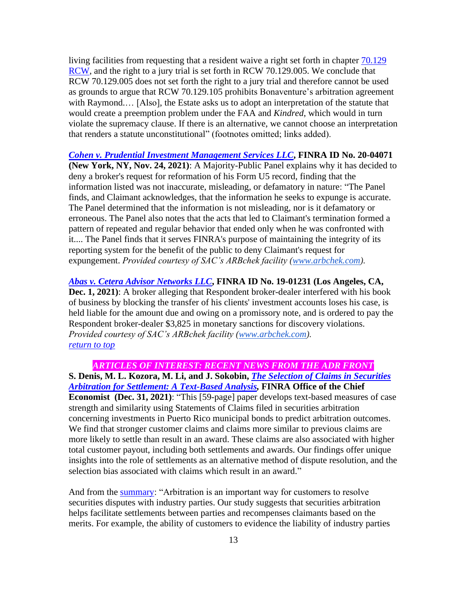living facilities from requesting that a resident waive a right set forth in chapter [70.129](https://apps.leg.wa.gov/rcw/default.aspx?cite=70.129)  [RCW,](https://apps.leg.wa.gov/rcw/default.aspx?cite=70.129) and the right to a jury trial is set forth in RCW 70.129.005. We conclude that RCW 70.129.005 does not set forth the right to a jury trial and therefore cannot be used as grounds to argue that RCW 70.129.105 prohibits Bonaventure's arbitration agreement with Raymond.... [Also], the Estate asks us to adopt an interpretation of the statute that would create a preemption problem under the FAA and *Kindred*, which would in turn violate the supremacy clause. If there is an alternative, we cannot choose an interpretation that renders a statute unconstitutional" (footnotes omitted; links added).

*[Cohen v. Prudential Investment](http://www.arbchek.com/files/pdf/20-04071.pdf) Management Services LLC***, FINRA ID No. 20-04071 (New York, NY, Nov. 24, 2021)**: A Majority-Public Panel explains why it has decided to deny a broker's request for reformation of his Form U5 record, finding that the information listed was not inaccurate, misleading, or defamatory in nature: "The Panel finds, and Claimant acknowledges, that the information he seeks to expunge is accurate. The Panel determined that the information is not misleading, nor is it defamatory or erroneous. The Panel also notes that the acts that led to Claimant's termination formed a pattern of repeated and regular behavior that ended only when he was confronted with it.... The Panel finds that it serves FINRA's purpose of maintaining the integrity of its reporting system for the benefit of the public to deny Claimant's request for expungement. *Provided courtesy of SAC's ARBchek facility [\(www.arbchek.com\)](http://www.arbchek.com/)*.

*[Abas v. Cetera Advisor Networks LLC](http://www.arbchek.com/files/pdf/19-01231.pdf)***, FINRA ID No. 19-01231 (Los Angeles, CA, Dec. 1, 2021)**: A broker alleging that Respondent broker-dealer interfered with his book of business by blocking the transfer of his clients' investment accounts loses his case, is held liable for the amount due and owing on a promissory note, and is ordered to pay the Respondent broker-dealer \$3,825 in monetary sanctions for discovery violations. *Provided courtesy of SAC's ARBchek facility [\(www.arbchek.com\)](http://www.arbchek.com/). [return to top](#page-0-0)*

<span id="page-12-0"></span>*ARTICLES OF INTEREST: RECENT NEWS FROM THE ADR FRONT* **S. Denis, M. L. Kozora, M. Li, and J. Sokobin,** *[The Selection of Claims in Securities](https://www.finra.org/sites/default/files/2021-12/Selection-of-Claims-in-Securities-Arbitration%20-or-Settlement-A-Text-Based-Analysis.pdf)  [Arbitration for Settlement: A Text-Based Analysis,](https://www.finra.org/sites/default/files/2021-12/Selection-of-Claims-in-Securities-Arbitration%20-or-Settlement-A-Text-Based-Analysis.pdf)* **FINRA Office of the Chief Economist (Dec. 31, 2021)**: "This [59-page] paper develops text-based measures of case strength and similarity using Statements of Claims filed in securities arbitration concerning investments in Puerto Rico municipal bonds to predict arbitration outcomes. We find that stronger customer claims and claims more similar to previous claims are more likely to settle than result in an award. These claims are also associated with higher total customer payout, including both settlements and awards. Our findings offer unique insights into the role of settlements as an alternative method of dispute resolution, and the selection bias associated with claims which result in an award."

And from the [summary:](https://www.finra.org/sites/default/files/2021-12/OCE-Working-Paper-Summary.pdf) "Arbitration is an important way for customers to resolve securities disputes with industry parties. Our study suggests that securities arbitration helps facilitate settlements between parties and recompenses claimants based on the merits. For example, the ability of customers to evidence the liability of industry parties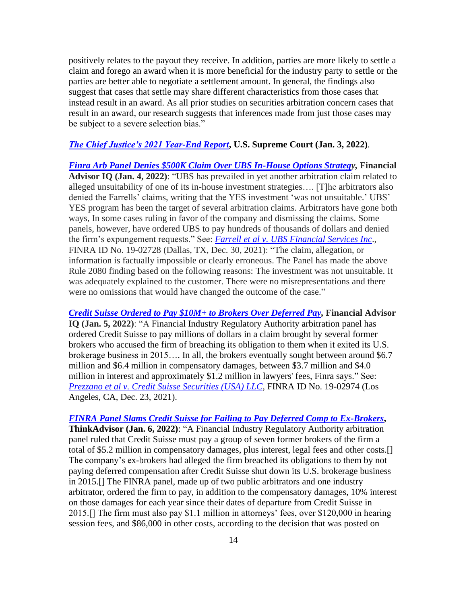positively relates to the payout they receive. In addition, parties are more likely to settle a claim and forego an award when it is more beneficial for the industry party to settle or the parties are better able to negotiate a settlement amount. In general, the findings also suggest that cases that settle may share different characteristics from those cases that instead result in an award. As all prior studies on securities arbitration concern cases that result in an award, our research suggests that inferences made from just those cases may be subject to a severe selection bias."

# *[The Chief Justice's 2021 Year-End Report](https://www.supremecourt.gov/publicinfo/year-end/2021year-endreport.pdf)***, U.S. Supreme Court (Jan. 3, 2022)**.

*[Finra Arb Panel Denies \\$500K Claim Over UBS In-House Options Strategy](https://www.financialadvisoriq.com/c/3450644/436644/finra_panel_denies_claim_over_house_options_strategy),* **Financial Advisor IQ (Jan. 4, 2022)**: "UBS has prevailed in yet another arbitration claim related to alleged unsuitability of one of its in-house investment strategies…. [T]he arbitrators also denied the Farrells' claims, writing that the YES investment 'was not unsuitable.' UBS' YES program has been the target of several arbitration claims. Arbitrators have gone both ways, In some cases ruling in favor of the company and dismissing the claims. Some panels, however, have ordered UBS to pay hundreds of thousands of dollars and denied the firm's expungement requests." See: *[Farrell et al v. UBS Financial Services Inc](https://www.finra.org/sites/default/files/aao_documents/19-02728.pdf)*., FINRA ID No. 19-02728 (Dallas, TX, Dec. 30, 2021): "The claim, allegation, or information is factually impossible or clearly erroneous. The Panel has made the above Rule 2080 finding based on the following reasons: The investment was not unsuitable. It was adequately explained to the customer. There were no misrepresentations and there were no omissions that would have changed the outcome of the case."

*[Credit Suisse Ordered to Pay \\$10M+ to Brokers Over Deferred Pay,](https://www.financialadvisoriq.com/c/3452164/436624/credit_suisse_ordered_brokers_over_deferred?referrer_module=sideBarHeadlines)* **Financial Advisor IQ (Jan. 5, 2022)**: "A Financial Industry Regulatory Authority arbitration panel has ordered Credit Suisse to pay millions of dollars in a claim brought by several former brokers who accused the firm of breaching its obligation to them when it exited its U.S. brokerage business in 2015…. In all, the brokers eventually sought between around \$6.7 million and \$6.4 million in compensatory damages, between \$3.7 million and \$4.0 million in interest and approximately \$1.2 million in lawyers' fees, Finra says." See: *[Prezzano et al v. Credit Suisse Securities \(USA\) LLC,](https://www.finra.org/sites/default/files/aao_documents/19-02974.pdf)* FINRA ID No. 19-02974 (Los Angeles, CA, Dec. 23, 2021).

# *[FINRA Panel Slams Credit Suisse for Failing to Pay Deferred Comp to Ex-Brokers](https://www.thinkadvisor.com/2022/01/06/finra-panel-slams-credit-suisse-for-failing-to-pay-deferred-comp-to-ex-brokers/)***,**

**ThinkAdvisor (Jan. 6, 2022)**: "A Financial Industry Regulatory Authority arbitration panel ruled that Credit Suisse must pay a group of seven former brokers of the firm a total of \$5.2 million in compensatory damages, plus interest, legal fees and other costs.[] The company's ex-brokers had alleged the firm breached its obligations to them by not paying deferred compensation after Credit Suisse shut down its U.S. brokerage business in 2015.[] The FINRA panel, made up of two public arbitrators and one industry arbitrator, ordered the firm to pay, in addition to the compensatory damages, 10% interest on those damages for each year since their dates of departure from Credit Suisse in 2015.[] The firm must also pay \$1.1 million in attorneys' fees, over \$120,000 in hearing session fees, and \$86,000 in other costs, according to the decision that was posted on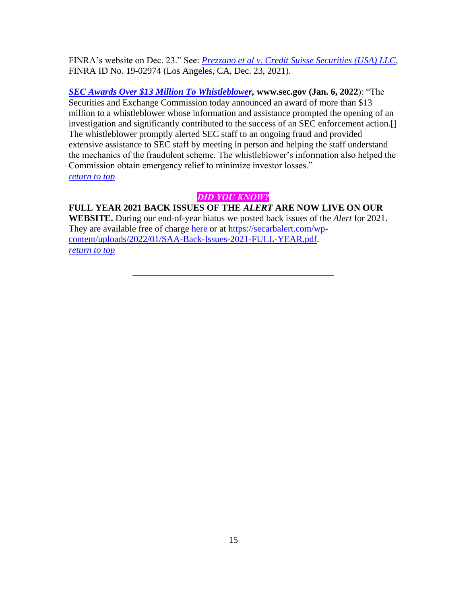FINRA's website on Dec. 23." See: *[Prezzano et al v. Credit Suisse Securities \(USA\) LLC,](https://www.finra.org/sites/default/files/aao_documents/19-02974.pdf)*  FINRA ID No. 19-02974 (Los Angeles, CA, Dec. 23, 2021).

*[SEC Awards Over \\$13 Million To Whistleblower](https://www.sec.gov/news/press-release/2022-2),* **www.sec.gov (Jan. 6, 2022**): "The Securities and Exchange Commission today announced an award of more than \$13 million to a whistleblower whose information and assistance prompted the opening of an investigation and significantly contributed to the success of an SEC enforcement action.[] The whistleblower promptly alerted SEC staff to an ongoing fraud and provided extensive assistance to SEC staff by meeting in person and helping the staff understand the mechanics of the fraudulent scheme. The whistleblower's information also helped the Commission obtain emergency relief to minimize investor losses." *[return to top](#page-0-0)*

# *DID YOU KNOW?*

<span id="page-14-0"></span>**FULL YEAR 2021 BACK ISSUES OF THE** *ALERT* **ARE NOW LIVE ON OUR WEBSITE.** During our end-of-year hiatus we posted back issues of the *Alert* for 2021. They are available free of charge [here](https://secarbalert.com/wp-content/uploads/2022/01/SAA-Back-Issues-2021-FULL-YEAR.pdf) or at [https://secarbalert.com/wp](https://secarbalert.com/wp-content/uploads/2022/01/SAA-Back-Issues-2021-FULL-YEAR.pdf)[content/uploads/2022/01/SAA-Back-Issues-2021-FULL-YEAR.pdf.](https://secarbalert.com/wp-content/uploads/2022/01/SAA-Back-Issues-2021-FULL-YEAR.pdf) *[return to top](#page-0-0)*